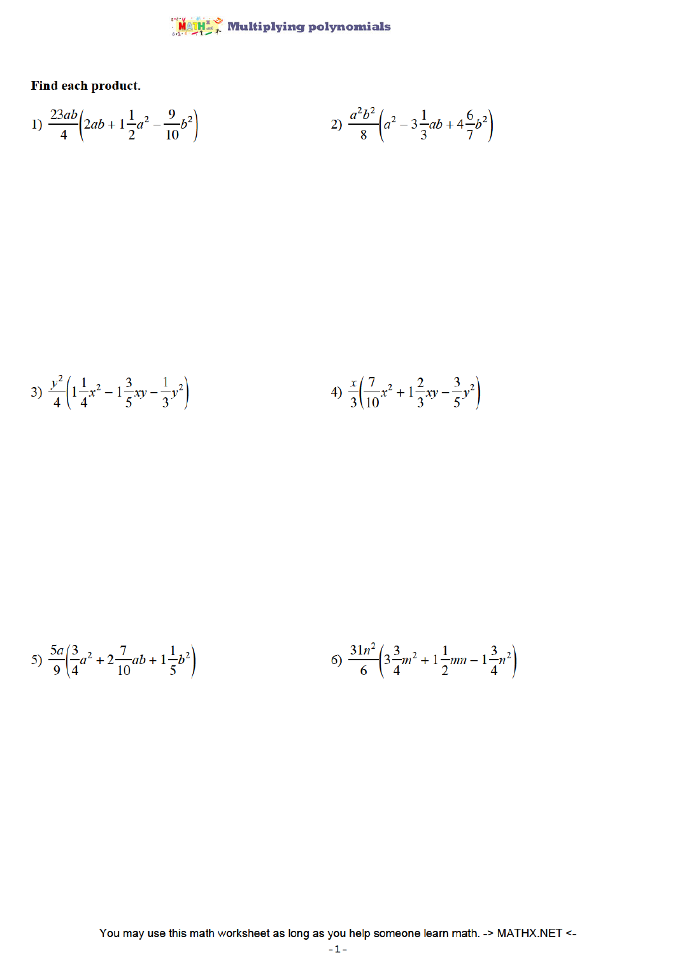## $\frac{\mathsf{M} \otimes \mathsf{M} \mathsf{M}^*}{\mathsf{M} \otimes \mathsf{M} \otimes \mathsf{M}^*}$  Multiplying polynomials

Find each product.

1) 
$$
\frac{23ab}{4} \left(2ab + 1\frac{1}{2}a^2 - \frac{9}{10}b^2\right)
$$
2) 
$$
\frac{a^2b^2}{8} \left(a^2 - 3\frac{1}{3}ab + 4\frac{6}{7}b^2\right)
$$

3) 
$$
\frac{y^2}{4} \left( 1 + \frac{1}{4}x^2 - 1 + \frac{3}{5}xy - \frac{1}{3}y^2 \right)
$$
 4)  $\frac{x}{3} \left( \frac{7}{10}x^2 + 1 + \frac{2}{3}xy - \frac{3}{5}y^2 \right)$ 

5) 
$$
\frac{5a}{9} \left(\frac{3}{4}a^2 + 2\frac{7}{10}ab + 1\frac{1}{5}b^2\right)
$$
   
6)  $\frac{31n^2}{6} \left(3\frac{3}{4}m^2 + 1\frac{1}{2}mn - 1\frac{3}{4}n^2\right)$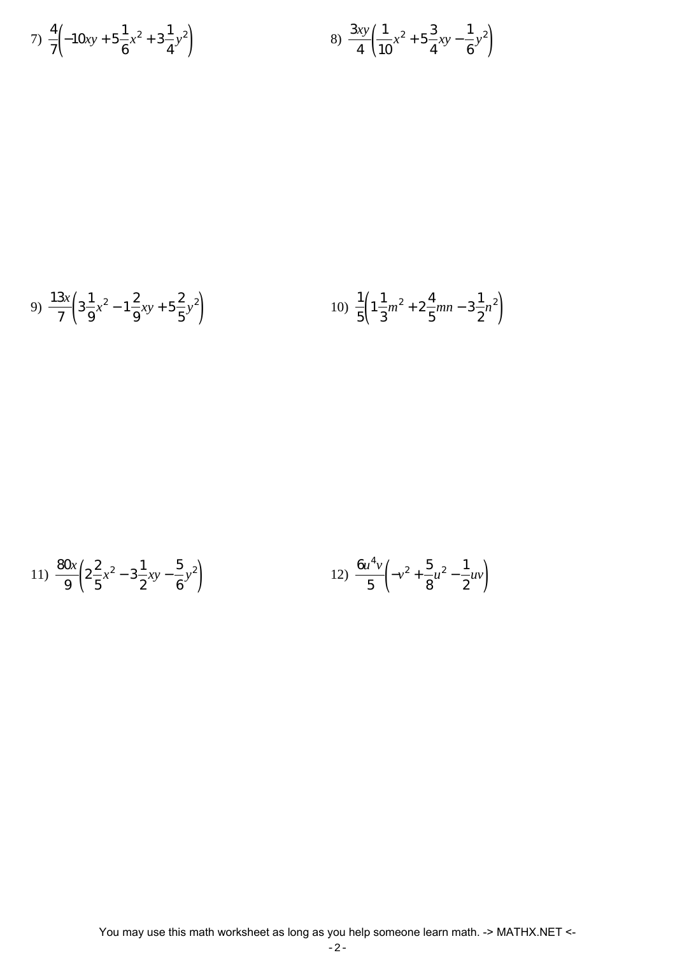7) 
$$
\frac{4}{7} \left( -10xy + 5\frac{1}{6}x^2 + 3\frac{1}{4}y^2 \right)
$$
   
8)  $\frac{3xy}{4} \left( \frac{1}{10}x^2 + 5\frac{3}{4}xy - \frac{1}{6}y^2 \right)$ 

9) 
$$
\frac{13x}{7} \left( 3\frac{1}{9}x^2 - 1\frac{2}{9}xy + 5\frac{2}{5}y^2 \right)
$$
   
10)  $\frac{1}{5} \left( 1\frac{1}{3}m^2 + 2\frac{4}{5}mn - 3\frac{1}{2}n^2 \right)$ 

11) 
$$
\frac{80x}{9} \left( 2\frac{2}{5}x^2 - 3\frac{1}{2}xy - \frac{5}{6}y^2 \right)
$$
 12) 
$$
\frac{6u^4v}{5} \left( -v^2 + \frac{5}{8}u^2 - \frac{1}{2}uv \right)
$$

$$
-2\,-
$$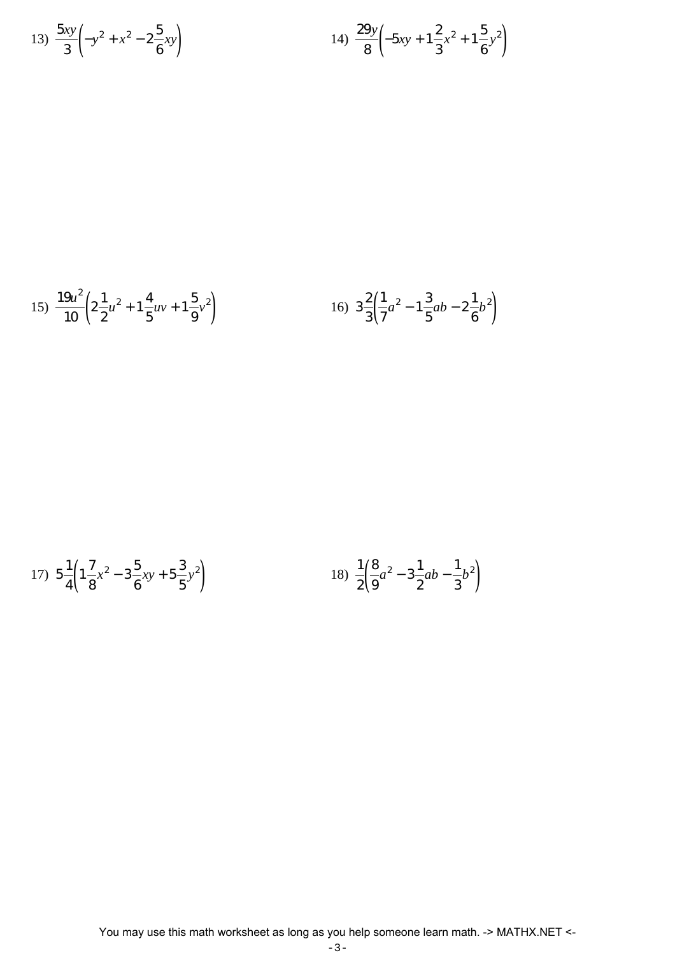13) 
$$
\frac{5xy}{3} \left( -y^2 + x^2 - 2\frac{5}{6}xy \right)
$$
  
14)  $\frac{29y}{8} \left( -5xy + 1\frac{2}{3}x^2 + 1\frac{5}{6}y^2 \right)$ 

15) 
$$
\frac{19u^2}{10} \left( 2\frac{1}{2}u^2 + 1\frac{4}{5}uv + 1\frac{5}{9}v^2 \right)
$$
 16) 
$$
3\frac{2}{3} \left( \frac{1}{7}a^2 - 1\frac{3}{5}ab - 2\frac{1}{6}b^2 \right)
$$

17) 
$$
5\frac{1}{4}\left(1\frac{7}{8}x^2 - 3\frac{5}{6}xy + 5\frac{3}{5}y^2\right)
$$
   
18)  $\frac{1}{2}\left(\frac{8}{9}a^2 - 3\frac{1}{2}ab - \frac{1}{3}b^2\right)$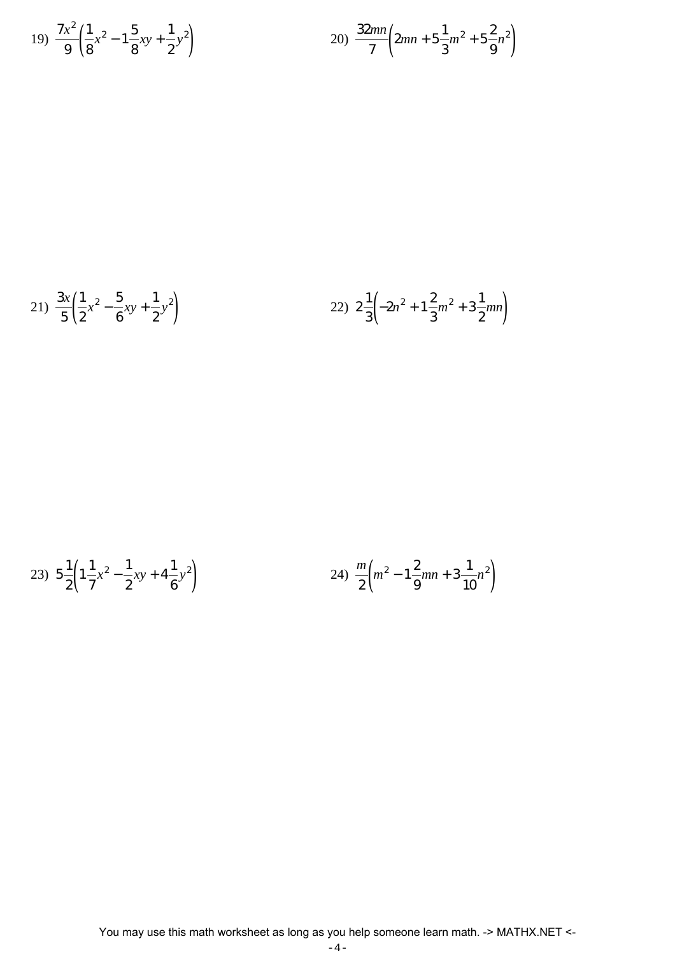19) 
$$
\frac{7x^2}{9} \left( \frac{1}{8} x^2 - 1 \frac{5}{8} xy + \frac{1}{2} y^2 \right)
$$
  
20) 
$$
\frac{32mn}{7} \left( 2mn + 5 \frac{1}{3} m^2 + 5 \frac{2}{9} n^2 \right)
$$

21) 
$$
\frac{3x}{5} \left( \frac{1}{2} x^2 - \frac{5}{6} xy + \frac{1}{2} y^2 \right)
$$
 22)  $2 \frac{1}{3} \left( -2n^2 + 1 \frac{2}{3} m^2 + 3 \frac{1}{2} mn \right)$ 

23) 
$$
5\frac{1}{2}\left(1\frac{1}{7}x^2 - \frac{1}{2}xy + 4\frac{1}{6}y^2\right)
$$
 24)  $\frac{m}{2}\left(m^2 - 1\frac{2}{9}mn + 3\frac{1}{10}n^2\right)$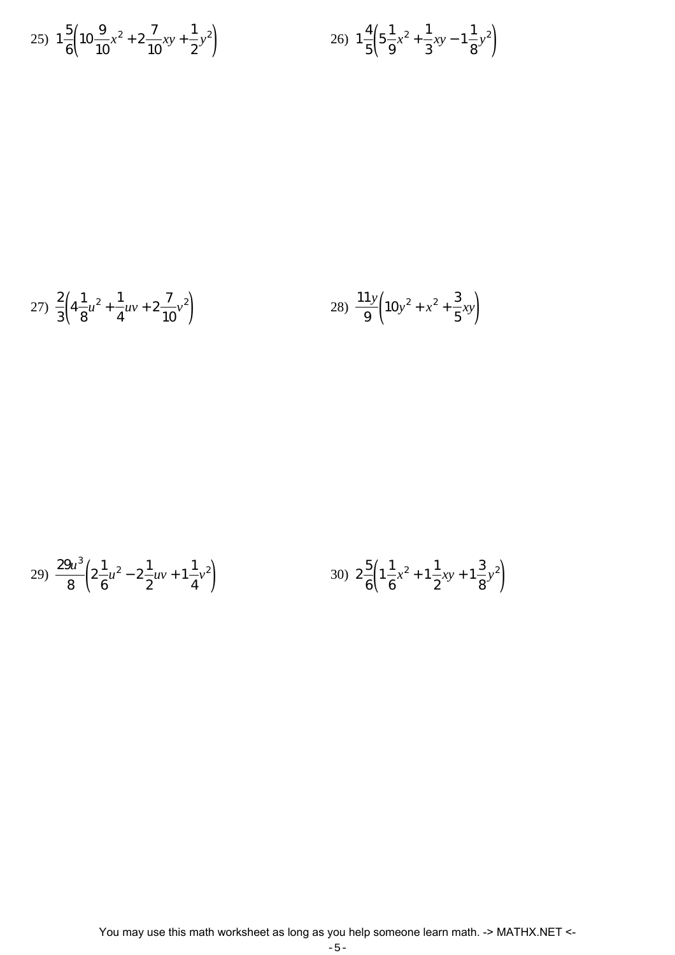25) 
$$
1\frac{5}{6}\left(10\frac{9}{10}x^2 + 2\frac{7}{10}xy + \frac{1}{2}y^2\right)
$$
 26)  $1\frac{4}{5}\left(5\frac{1}{9}x^2 + \frac{1}{3}xy - 1\frac{1}{8}y^2\right)$ 

27) 
$$
\frac{2}{3} \left( 4\frac{1}{8}u^2 + \frac{1}{4}uv + 2\frac{7}{10}v^2 \right)
$$
 28)  $\frac{11y}{9} \left( 10y^2 + x^2 + \frac{3}{5}xy \right)$ 

29) 
$$
\frac{29u^3}{8} \left( 2\frac{1}{6}u^2 - 2\frac{1}{2}uv + 1\frac{1}{4}v^2 \right)
$$
 30) 
$$
2\frac{5}{6} \left( 1\frac{1}{6}x^2 + 1\frac{1}{2}xy + 1\frac{3}{8}v^2 \right)
$$